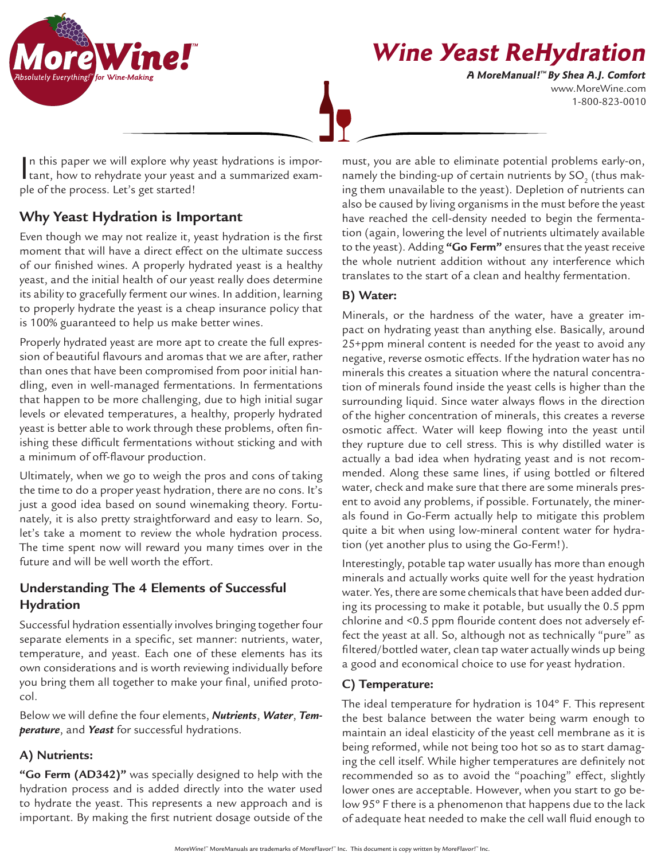

**Wine Yeast ReHydration**

www.MoreWine.com 1-800-823-0010 **A MoreManual! ™ By Shea A.J. Comfort**

In this paper we will explore why yeast hydrations is important, how to rehydrate your yeast and a summarized examn this paper we will explore why yeast hydrations is imporple of the process. Let's get started!

# **Why Yeast Hydration is Important**

Even though we may not realize it, yeast hydration is the first moment that will have a direct effect on the ultimate success of our finished wines. A properly hydrated yeast is a healthy yeast, and the initial health of our yeast really does determine its ability to gracefully ferment our wines. In addition, learning to properly hydrate the yeast is a cheap insurance policy that is 100% guaranteed to help us make better wines.

Properly hydrated yeast are more apt to create the full expression of beautiful flavours and aromas that we are after, rather than ones that have been compromised from poor initial handling, even in well-managed fermentations. In fermentations that happen to be more challenging, due to high initial sugar levels or elevated temperatures, a healthy, properly hydrated yeast is better able to work through these problems, often finishing these difficult fermentations without sticking and with a minimum of off-flavour production.

Ultimately, when we go to weigh the pros and cons of taking the time to do a proper yeast hydration, there are no cons. It's just a good idea based on sound winemaking theory. Fortunately, it is also pretty straightforward and easy to learn. So, let's take a moment to review the whole hydration process. The time spent now will reward you many times over in the future and will be well worth the effort.

### **Understanding The 4 Elements of Successful Hydration**

Successful hydration essentially involves bringing together four separate elements in a specific, set manner: nutrients, water, temperature, and yeast. Each one of these elements has its own considerations and is worth reviewing individually before you bring them all together to make your final, unified protocol.

Below we will define the four elements, *Nutrients*, *Water*, *Temperature*, and *Yeast* for successful hydrations.

#### **A) Nutrients:**

**"Go Ferm (AD342)"** was specially designed to help with the hydration process and is added directly into the water used to hydrate the yeast. This represents a new approach and is important. By making the first nutrient dosage outside of the

must, you are able to eliminate potential problems early-on, namely the binding-up of certain nutrients by SO $_{_2}$  (thus making them unavailable to the yeast). Depletion of nutrients can also be caused by living organisms in the must before the yeast have reached the cell-density needed to begin the fermentation (again, lowering the level of nutrients ultimately available to the yeast). Adding **"Go Ferm"** ensures that the yeast receive the whole nutrient addition without any interference which translates to the start of a clean and healthy fermentation.

#### **B) Water:**

Minerals, or the hardness of the water, have a greater impact on hydrating yeast than anything else. Basically, around 25+ppm mineral content is needed for the yeast to avoid any negative, reverse osmotic effects. If the hydration water has no minerals this creates a situation where the natural concentration of minerals found inside the yeast cells is higher than the surrounding liquid. Since water always flows in the direction of the higher concentration of minerals, this creates a reverse osmotic affect. Water will keep flowing into the yeast until they rupture due to cell stress. This is why distilled water is actually a bad idea when hydrating yeast and is not recommended. Along these same lines, if using bottled or filtered water, check and make sure that there are some minerals present to avoid any problems, if possible. Fortunately, the minerals found in Go-Ferm actually help to mitigate this problem quite a bit when using low-mineral content water for hydration (yet another plus to using the Go-Ferm!).

Interestingly, potable tap water usually has more than enough minerals and actually works quite well for the yeast hydration water. Yes, there are some chemicals that have been added during its processing to make it potable, but usually the 0.5 ppm chlorine and <0.5 ppm flouride content does not adversely effect the yeast at all. So, although not as technically "pure" as filtered/bottled water, clean tap water actually winds up being a good and economical choice to use for yeast hydration.

### **C) Temperature:**

The ideal temperature for hydration is 104º F. This represent the best balance between the water being warm enough to maintain an ideal elasticity of the yeast cell membrane as it is being reformed, while not being too hot so as to start damaging the cell itself. While higher temperatures are definitely not recommended so as to avoid the "poaching" effect, slightly lower ones are acceptable. However, when you start to go below 95º F there is a phenomenon that happens due to the lack of adequate heat needed to make the cell wall fluid enough to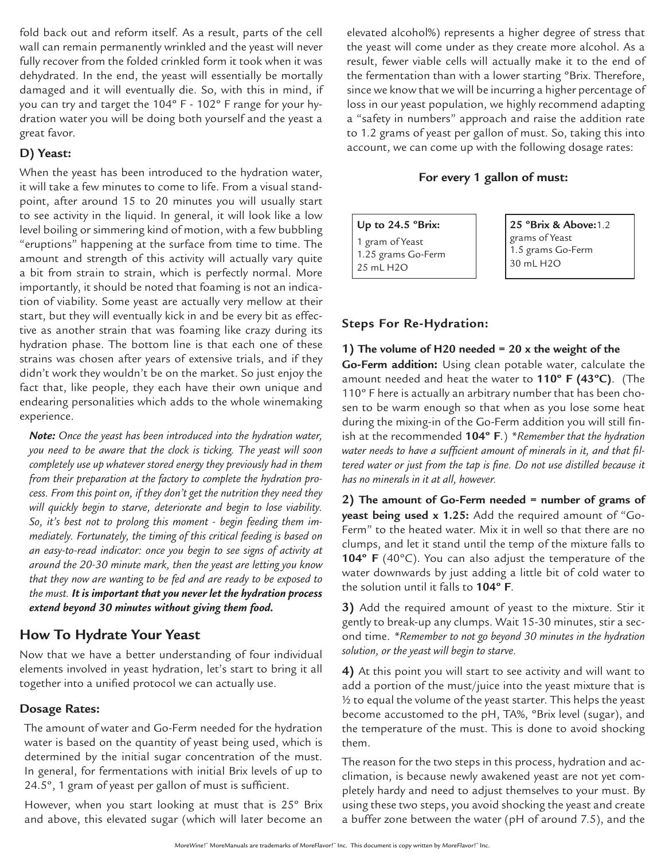fold back out and reform itself. As a result, parts of the cell wall can remain permanently wrinkled and the yeast will never fully recover from the folded crinkled form it took when it was dehydrated. In the end, the yeast will essentially be mortally damaged and it will eventually die. So, with this in mind, if you can try and target the 104º F - 102º F range for your hydration water you will be doing both yourself and the yeast a great favor.

#### **D) Yeast:**

When the yeast has been introduced to the hydration water, it will take a few minutes to come to life. From a visual standpoint, after around 15 to 20 minutes you will usually start to see activity in the liquid. In general, it will look like a low level boiling or simmering kind of motion, with a few bubbling "eruptions" happening at the surface from time to time. The amount and strength of this activity will actually vary quite a bit from strain to strain, which is perfectly normal. More importantly, it should be noted that foaming is not an indication of viability. Some yeast are actually very mellow at their start, but they will eventually kick in and be every bit as effective as another strain that was foaming like crazy during its hydration phase. The bottom line is that each one of these strains was chosen after years of extensive trials, and if they didn't work they wouldn't be on the market. So just enjoy the fact that, like people, they each have their own unique and endearing personalities which adds to the whole winemaking experience.

*Note: Once the yeast has been introduced into the hydration water, you need to be aware that the clock is ticking. The yeast will soon completely use up whatever stored energy they previously had in them from their preparation at the factory to complete the hydration process. From this point on, if they don't get the nutrition they need they will quickly begin to starve, deteriorate and begin to lose viability. So, it's best not to prolong this moment - begin feeding them immediately. Fortunately, the timing of this critical feeding is based on an easy-to-read indicator: once you begin to see signs of activity at around the 20-30 minute mark, then the yeast are letting you know that they now are wanting to be fed and are ready to be exposed to the must. It is important that you never let the hydration process extend beyond 30 minutes without giving them food.*

## **How To Hydrate Your Yeast**

Now that we have a better understanding of four individual elements involved in yeast hydration, let's start to bring it all together into a unified protocol we can actually use.

#### **Dosage Rates:**

The amount of water and Go-Ferm needed for the hydration water is based on the quantity of yeast being used, which is determined by the initial sugar concentration of the must. In general, for fermentations with initial Brix levels of up to 24.5º, 1 gram of yeast per gallon of must is sufficient.

However, when you start looking at must that is 25º Brix and above, this elevated sugar (which will later become an

elevated alcohol%) represents a higher degree of stress that the yeast will come under as they create more alcohol. As a result, fewer viable cells will actually make it to the end of the fermentation than with a lower starting ºBrix. Therefore, since we know that we will be incurring a higher percentage of loss in our yeast population, we highly recommend adapting a "safety in numbers" approach and raise the addition rate to 1.2 grams of yeast per gallon of must. So, taking this into account, we can come up with the following dosage rates:

#### **For every 1 gallon of must:**

**Up to 24.5 ºBrix:**

1 gram of Yeast 1.25 grams Go-Ferm 25 mL H2O

**25 ºBrix & Above:**1.2 grams of Yeast 1.5 grams Go-Ferm 30 mL H2O

#### **Steps For Re-Hydration:**

**1) The volume of H20 needed = 20 x the weight of the Go-Ferm addition:** Using clean potable water, calculate the amount needed and heat the water to **110º F (43ºC)**. (The 110º F here is actually an arbitrary number that has been chosen to be warm enough so that when as you lose some heat during the mixing-in of the Go-Ferm addition you will still finish at the recommended **104º F**.) *\*Remember that the hydration water needs to have a sufficient amount of minerals in it, and that filtered water or just from the tap is fine. Do not use distilled because it has no minerals in it at all, however.* 

**2) The amount of Go-Ferm needed = number of grams of yeast being used x 1.25:** Add the required amount of "Go-Ferm" to the heated water. Mix it in well so that there are no clumps, and let it stand until the temp of the mixture falls to **104º F** (40ºC). You can also adjust the temperature of the water downwards by just adding a little bit of cold water to the solution until it falls to **104º F**.

**3)** Add the required amount of yeast to the mixture. Stir it gently to break-up any clumps. Wait 15-30 minutes, stir a second time. *\*Remember to not go beyond 30 minutes in the hydration solution, or the yeast will begin to starve.*

**4)** At this point you will start to see activity and will want to add a portion of the must/juice into the yeast mixture that is ½ to equal the volume of the yeast starter. This helps the yeast become accustomed to the pH, TA%, ºBrix level (sugar), and the temperature of the must. This is done to avoid shocking them.

The reason for the two steps in this process, hydration and acclimation, is because newly awakened yeast are not yet completely hardy and need to adjust themselves to your must. By using these two steps, you avoid shocking the yeast and create a buffer zone between the water (pH of around 7.5), and the